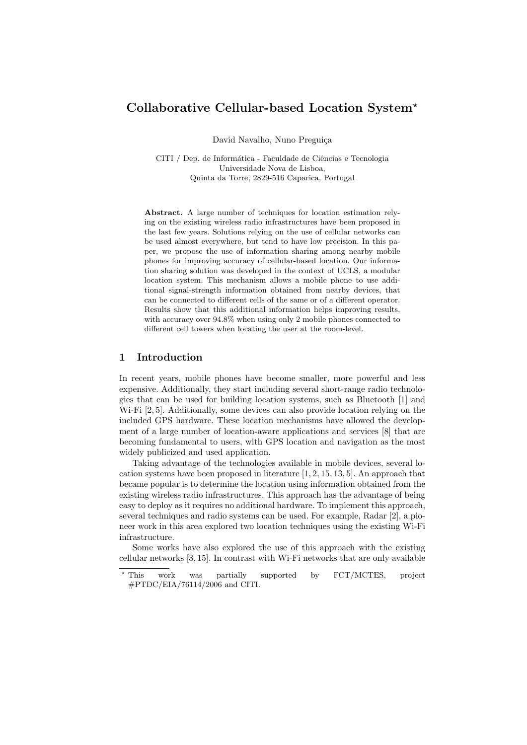# Collaborative Cellular-based Location System?

David Navalho, Nuno Preguiça

CITI / Dep. de Informática - Faculdade de Ciências e Tecnologia Universidade Nova de Lisboa, Quinta da Torre, 2829-516 Caparica, Portugal

Abstract. A large number of techniques for location estimation relying on the existing wireless radio infrastructures have been proposed in the last few years. Solutions relying on the use of cellular networks can be used almost everywhere, but tend to have low precision. In this paper, we propose the use of information sharing among nearby mobile phones for improving accuracy of cellular-based location. Our information sharing solution was developed in the context of UCLS, a modular location system. This mechanism allows a mobile phone to use additional signal-strength information obtained from nearby devices, that can be connected to different cells of the same or of a different operator. Results show that this additional information helps improving results, with accuracy over  $94.8\%$  when using only 2 mobile phones connected to different cell towers when locating the user at the room-level.

# 1 Introduction

In recent years, mobile phones have become smaller, more powerful and less expensive. Additionally, they start including several short-range radio technologies that can be used for building location systems, such as Bluetooth [1] and Wi-Fi [2, 5]. Additionally, some devices can also provide location relying on the included GPS hardware. These location mechanisms have allowed the development of a large number of location-aware applications and services [8] that are becoming fundamental to users, with GPS location and navigation as the most widely publicized and used application.

Taking advantage of the technologies available in mobile devices, several location systems have been proposed in literature  $[1, 2, 15, 13, 5]$ . An approach that became popular is to determine the location using information obtained from the existing wireless radio infrastructures. This approach has the advantage of being easy to deploy as it requires no additional hardware. To implement this approach, several techniques and radio systems can be used. For example, Radar [2], a pioneer work in this area explored two location techniques using the existing Wi-Fi infrastructure.

Some works have also explored the use of this approach with the existing cellular networks [3, 15]. In contrast with Wi-Fi networks that are only available

<sup>?</sup> This work was partially supported by FCT/MCTES, project #PTDC/EIA/76114/2006 and CITI.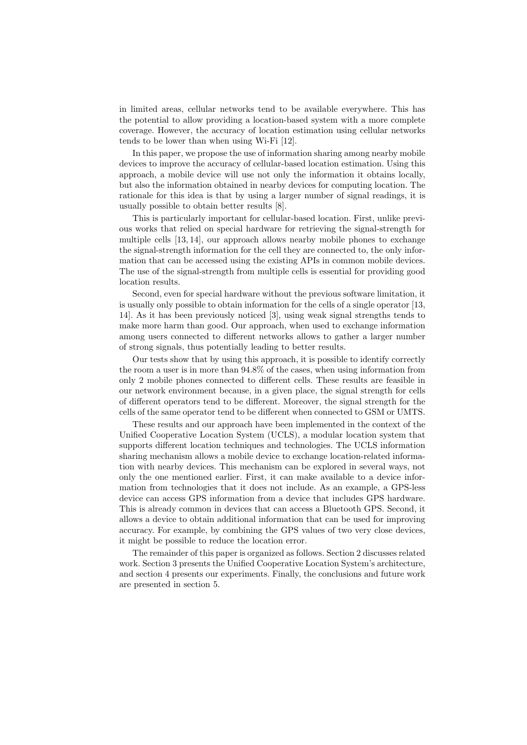in limited areas, cellular networks tend to be available everywhere. This has the potential to allow providing a location-based system with a more complete coverage. However, the accuracy of location estimation using cellular networks tends to be lower than when using Wi-Fi [12].

In this paper, we propose the use of information sharing among nearby mobile devices to improve the accuracy of cellular-based location estimation. Using this approach, a mobile device will use not only the information it obtains locally, but also the information obtained in nearby devices for computing location. The rationale for this idea is that by using a larger number of signal readings, it is usually possible to obtain better results [8].

This is particularly important for cellular-based location. First, unlike previous works that relied on special hardware for retrieving the signal-strength for multiple cells [13, 14], our approach allows nearby mobile phones to exchange the signal-strength information for the cell they are connected to, the only information that can be accessed using the existing APIs in common mobile devices. The use of the signal-strength from multiple cells is essential for providing good location results.

Second, even for special hardware without the previous software limitation, it is usually only possible to obtain information for the cells of a single operator [13, 14]. As it has been previously noticed [3], using weak signal strengths tends to make more harm than good. Our approach, when used to exchange information among users connected to different networks allows to gather a larger number of strong signals, thus potentially leading to better results.

Our tests show that by using this approach, it is possible to identify correctly the room a user is in more than 94.8% of the cases, when using information from only 2 mobile phones connected to different cells. These results are feasible in our network environment because, in a given place, the signal strength for cells of different operators tend to be different. Moreover, the signal strength for the cells of the same operator tend to be different when connected to GSM or UMTS.

These results and our approach have been implemented in the context of the Unified Cooperative Location System (UCLS), a modular location system that supports different location techniques and technologies. The UCLS information sharing mechanism allows a mobile device to exchange location-related information with nearby devices. This mechanism can be explored in several ways, not only the one mentioned earlier. First, it can make available to a device information from technologies that it does not include. As an example, a GPS-less device can access GPS information from a device that includes GPS hardware. This is already common in devices that can access a Bluetooth GPS. Second, it allows a device to obtain additional information that can be used for improving accuracy. For example, by combining the GPS values of two very close devices, it might be possible to reduce the location error.

The remainder of this paper is organized as follows. Section 2 discusses related work. Section 3 presents the Unified Cooperative Location System's architecture, and section 4 presents our experiments. Finally, the conclusions and future work are presented in section 5.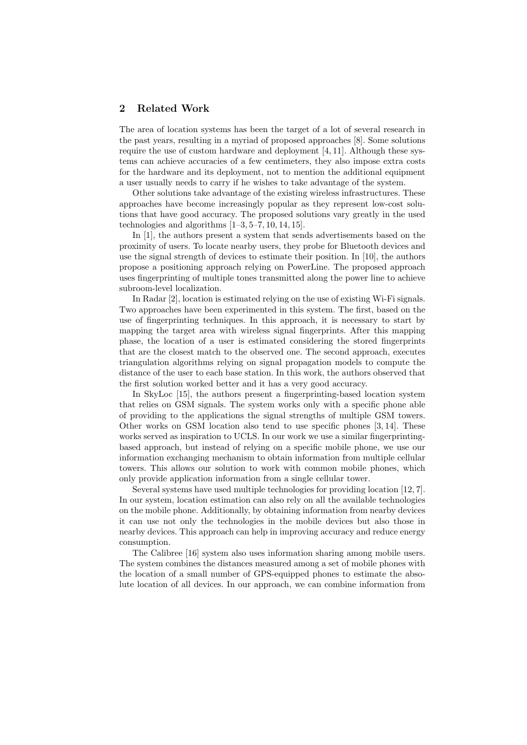# 2 Related Work

The area of location systems has been the target of a lot of several research in the past years, resulting in a myriad of proposed approaches [8]. Some solutions require the use of custom hardware and deployment [4, 11]. Although these systems can achieve accuracies of a few centimeters, they also impose extra costs for the hardware and its deployment, not to mention the additional equipment a user usually needs to carry if he wishes to take advantage of the system.

Other solutions take advantage of the existing wireless infrastructures. These approaches have become increasingly popular as they represent low-cost solutions that have good accuracy. The proposed solutions vary greatly in the used technologies and algorithms  $[1-3, 5-7, 10, 14, 15]$ .

In [1], the authors present a system that sends advertisements based on the proximity of users. To locate nearby users, they probe for Bluetooth devices and use the signal strength of devices to estimate their position. In [10], the authors propose a positioning approach relying on PowerLine. The proposed approach uses fingerprinting of multiple tones transmitted along the power line to achieve subroom-level localization.

In Radar [2], location is estimated relying on the use of existing Wi-Fi signals. Two approaches have been experimented in this system. The first, based on the use of fingerprinting techniques. In this approach, it is necessary to start by mapping the target area with wireless signal fingerprints. After this mapping phase, the location of a user is estimated considering the stored fingerprints that are the closest match to the observed one. The second approach, executes triangulation algorithms relying on signal propagation models to compute the distance of the user to each base station. In this work, the authors observed that the first solution worked better and it has a very good accuracy.

In SkyLoc [15], the authors present a fingerprinting-based location system that relies on GSM signals. The system works only with a specific phone able of providing to the applications the signal strengths of multiple GSM towers. Other works on GSM location also tend to use specific phones [3, 14]. These works served as inspiration to UCLS. In our work we use a similar fingerprintingbased approach, but instead of relying on a specific mobile phone, we use our information exchanging mechanism to obtain information from multiple cellular towers. This allows our solution to work with common mobile phones, which only provide application information from a single cellular tower.

Several systems have used multiple technologies for providing location [12, 7]. In our system, location estimation can also rely on all the available technologies on the mobile phone. Additionally, by obtaining information from nearby devices it can use not only the technologies in the mobile devices but also those in nearby devices. This approach can help in improving accuracy and reduce energy consumption.

The Calibree [16] system also uses information sharing among mobile users. The system combines the distances measured among a set of mobile phones with the location of a small number of GPS-equipped phones to estimate the absolute location of all devices. In our approach, we can combine information from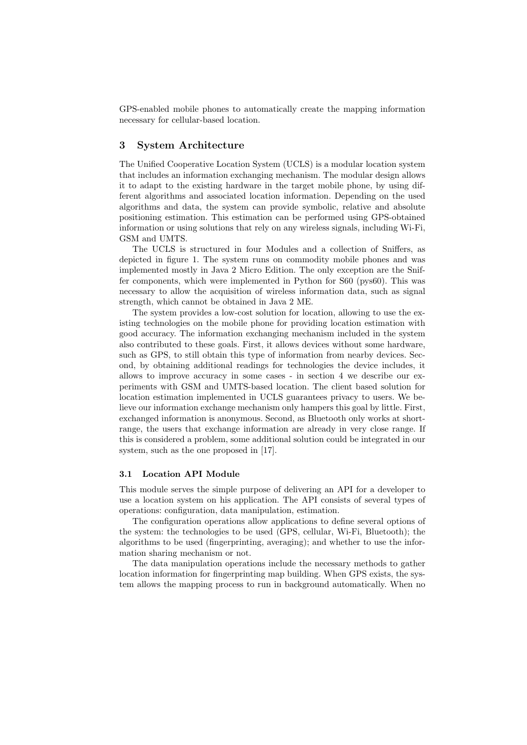GPS-enabled mobile phones to automatically create the mapping information necessary for cellular-based location.

# 3 System Architecture

The Unified Cooperative Location System (UCLS) is a modular location system that includes an information exchanging mechanism. The modular design allows it to adapt to the existing hardware in the target mobile phone, by using different algorithms and associated location information. Depending on the used algorithms and data, the system can provide symbolic, relative and absolute positioning estimation. This estimation can be performed using GPS-obtained information or using solutions that rely on any wireless signals, including Wi-Fi, GSM and UMTS.

The UCLS is structured in four Modules and a collection of Sniffers, as depicted in figure 1. The system runs on commodity mobile phones and was implemented mostly in Java 2 Micro Edition. The only exception are the Sniffer components, which were implemented in Python for S60 (pys60). This was necessary to allow the acquisition of wireless information data, such as signal strength, which cannot be obtained in Java 2 ME.

The system provides a low-cost solution for location, allowing to use the existing technologies on the mobile phone for providing location estimation with good accuracy. The information exchanging mechanism included in the system also contributed to these goals. First, it allows devices without some hardware, such as GPS, to still obtain this type of information from nearby devices. Second, by obtaining additional readings for technologies the device includes, it allows to improve accuracy in some cases - in section 4 we describe our experiments with GSM and UMTS-based location. The client based solution for location estimation implemented in UCLS guarantees privacy to users. We believe our information exchange mechanism only hampers this goal by little. First, exchanged information is anonymous. Second, as Bluetooth only works at shortrange, the users that exchange information are already in very close range. If this is considered a problem, some additional solution could be integrated in our system, such as the one proposed in [17].

### 3.1 Location API Module

This module serves the simple purpose of delivering an API for a developer to use a location system on his application. The API consists of several types of operations: configuration, data manipulation, estimation.

The configuration operations allow applications to define several options of the system: the technologies to be used (GPS, cellular, Wi-Fi, Bluetooth); the algorithms to be used (fingerprinting, averaging); and whether to use the information sharing mechanism or not.

The data manipulation operations include the necessary methods to gather location information for fingerprinting map building. When GPS exists, the system allows the mapping process to run in background automatically. When no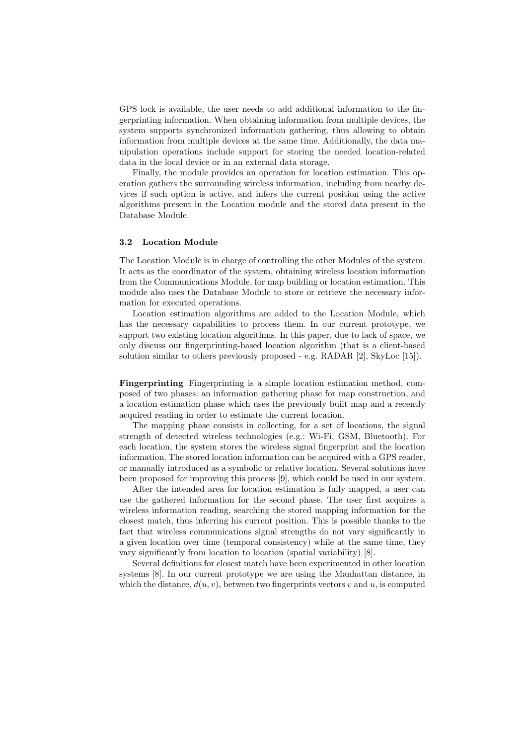GPS lock is available, the user needs to add additional information to the fingerprinting information. When obtaining information from multiple devices, the system supports synchronized information gathering, thus allowing to obtain information from multiple devices at the same time. Additionally, the data manipulation operations include support for storing the needed location-related data in the local device or in an external data storage.

Finally, the module provides an operation for location estimation. This operation gathers the surrounding wireless information, including from nearby devices if such option is active, and infers the current position using the active algorithms present in the Location module and the stored data present in the Database Module.

#### 3.2 Location Module

The Location Module is in charge of controlling the other Modules of the system. It acts as the coordinator of the system, obtaining wireless location information from the Communications Module, for map building or location estimation. This module also uses the Database Module to store or retrieve the necessary information for executed operations.

Location estimation algorithms are added to the Location Module, which has the necessary capabilities to process them. In our current prototype, we support two existing location algorithms. In this paper, due to lack of space, we only discuss our fingerprinting-based location algorithm (that is a client-based solution similar to others previously proposed - e.g. RADAR [2], SkyLoc [15]).

Fingerprinting Fingerprinting is a simple location estimation method, composed of two phases: an information gathering phase for map construction, and a location estimation phase which uses the previously built map and a recently acquired reading in order to estimate the current location.

The mapping phase consists in collecting, for a set of locations, the signal strength of detected wireless technologies (e.g.: Wi-Fi, GSM, Bluetooth). For each location, the system stores the wireless signal fingerprint and the location information. The stored location information can be acquired with a GPS reader, or manually introduced as a symbolic or relative location. Several solutions have been proposed for improving this process [9], which could be used in our system.

After the intended area for location estimation is fully mapped, a user can use the gathered information for the second phase. The user first acquires a wireless information reading, searching the stored mapping information for the closest match, thus inferring his current position. This is possible thanks to the fact that wireless communications signal strengths do not vary significantly in a given location over time (temporal consistency) while at the same time, they vary significantly from location to location (spatial variability) [8].

Several definitions for closest match have been experimented in other location systems [8]. In our current prototype we are using the Manhattan distance, in which the distance,  $d(u, v)$ , between two fingerprints vectors v and u, is computed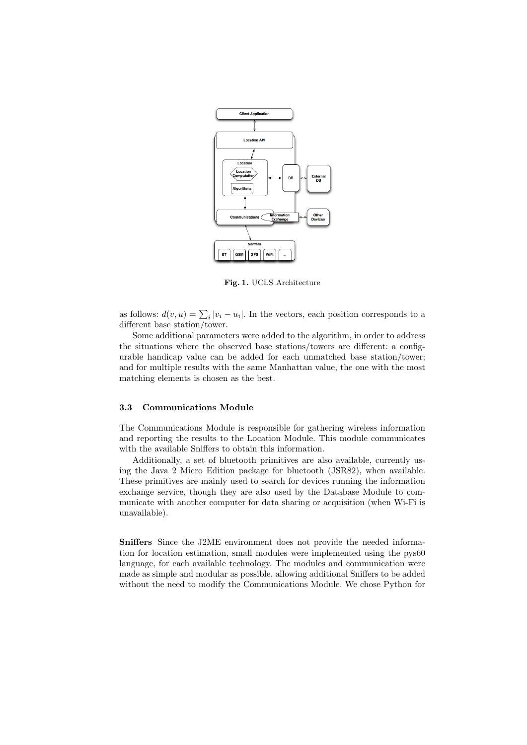

Fig. 1. UCLS Architecture

as follows:  $d(v, u) = \sum_i |v_i - u_i|$ . In the vectors, each position corresponds to a different base station/tower.

Some additional parameters were added to the algorithm, in order to address the situations where the observed base stations/towers are different: a configurable handicap value can be added for each unmatched base station/tower; and for multiple results with the same Manhattan value, the one with the most matching elements is chosen as the best.

#### 3.3 Communications Module

The Communications Module is responsible for gathering wireless information and reporting the results to the Location Module. This module communicates with the available Sniffers to obtain this information.

Additionally, a set of bluetooth primitives are also available, currently using the Java 2 Micro Edition package for bluetooth (JSR82), when available. These primitives are mainly used to search for devices running the information exchange service, though they are also used by the Database Module to communicate with another computer for data sharing or acquisition (when Wi-Fi is unavailable).

Sniffers Since the J2ME environment does not provide the needed information for location estimation, small modules were implemented using the pys60 language, for each available technology. The modules and communication were made as simple and modular as possible, allowing additional Sniffers to be added without the need to modify the Communications Module. We chose Python for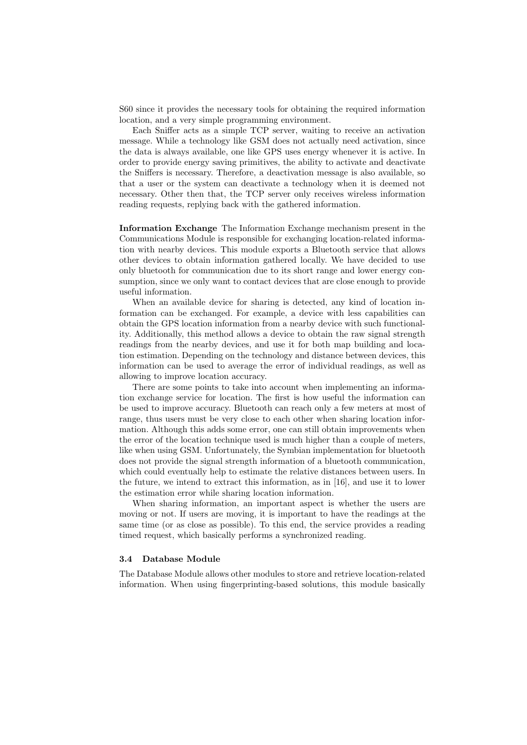S60 since it provides the necessary tools for obtaining the required information location, and a very simple programming environment.

Each Sniffer acts as a simple TCP server, waiting to receive an activation message. While a technology like GSM does not actually need activation, since the data is always available, one like GPS uses energy whenever it is active. In order to provide energy saving primitives, the ability to activate and deactivate the Sniffers is necessary. Therefore, a deactivation message is also available, so that a user or the system can deactivate a technology when it is deemed not necessary. Other then that, the TCP server only receives wireless information reading requests, replying back with the gathered information.

Information Exchange The Information Exchange mechanism present in the Communications Module is responsible for exchanging location-related information with nearby devices. This module exports a Bluetooth service that allows other devices to obtain information gathered locally. We have decided to use only bluetooth for communication due to its short range and lower energy consumption, since we only want to contact devices that are close enough to provide useful information.

When an available device for sharing is detected, any kind of location information can be exchanged. For example, a device with less capabilities can obtain the GPS location information from a nearby device with such functionality. Additionally, this method allows a device to obtain the raw signal strength readings from the nearby devices, and use it for both map building and location estimation. Depending on the technology and distance between devices, this information can be used to average the error of individual readings, as well as allowing to improve location accuracy.

There are some points to take into account when implementing an information exchange service for location. The first is how useful the information can be used to improve accuracy. Bluetooth can reach only a few meters at most of range, thus users must be very close to each other when sharing location information. Although this adds some error, one can still obtain improvements when the error of the location technique used is much higher than a couple of meters, like when using GSM. Unfortunately, the Symbian implementation for bluetooth does not provide the signal strength information of a bluetooth communication, which could eventually help to estimate the relative distances between users. In the future, we intend to extract this information, as in [16], and use it to lower the estimation error while sharing location information.

When sharing information, an important aspect is whether the users are moving or not. If users are moving, it is important to have the readings at the same time (or as close as possible). To this end, the service provides a reading timed request, which basically performs a synchronized reading.

#### 3.4 Database Module

The Database Module allows other modules to store and retrieve location-related information. When using fingerprinting-based solutions, this module basically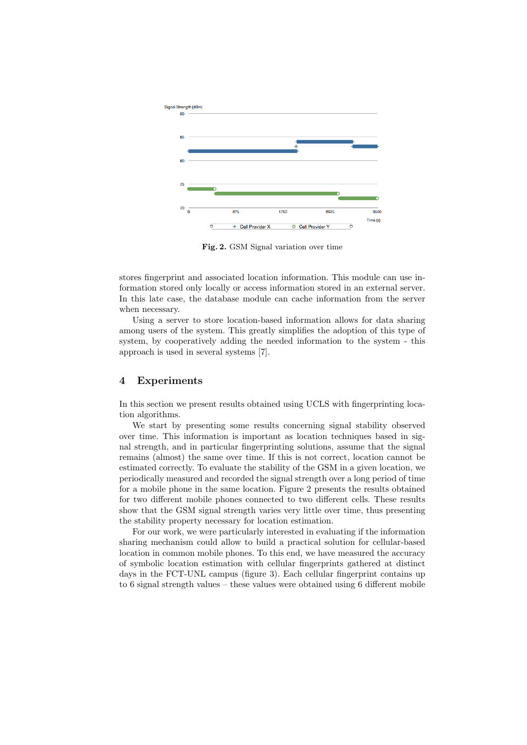

Fig. 2. GSM Signal variation over time

stores fingerprint and associated location information. This module can use information stored only locally or access information stored in an external server. In this late case, the database module can cache information from the server when necessary.

Using a server to store location-based information allows for data sharing among users of the system. This greatly simplifies the adoption of this type of system, by cooperatively adding the needed information to the system - this approach is used in several systems [7].

# 4 Experiments

In this section we present results obtained using UCLS with fingerprinting location algorithms.

We start by presenting some results concerning signal stability observed over time. This information is important as location techniques based in signal strength, and in particular fingerprinting solutions, assume that the signal remains (almost) the same over time. If this is not correct, location cannot be estimated correctly. To evaluate the stability of the GSM in a given location, we periodically measured and recorded the signal strength over a long period of time for a mobile phone in the same location. Figure 2 presents the results obtained for two different mobile phones connected to two different cells. These results show that the GSM signal strength varies very little over time, thus presenting the stability property necessary for location estimation.

For our work, we were particularly interested in evaluating if the information sharing mechanism could allow to build a practical solution for cellular-based location in common mobile phones. To this end, we have measured the accuracy of symbolic location estimation with cellular fingerprints gathered at distinct days in the FCT-UNL campus (figure 3). Each cellular fingerprint contains up to 6 signal strength values – these values were obtained using 6 different mobile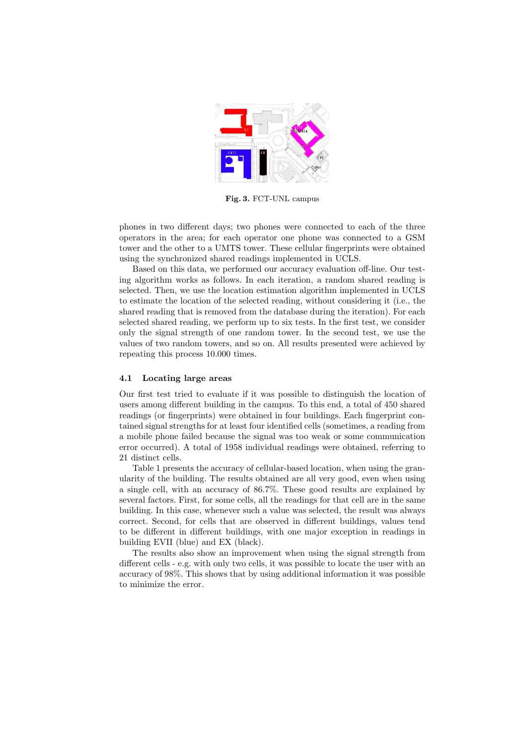

Fig. 3. FCT-UNL campus

phones in two different days; two phones were connected to each of the three operators in the area; for each operator one phone was connected to a GSM tower and the other to a UMTS tower. These cellular fingerprints were obtained using the synchronized shared readings implemented in UCLS.

Based on this data, we performed our accuracy evaluation off-line. Our testing algorithm works as follows. In each iteration, a random shared reading is selected. Then, we use the location estimation algorithm implemented in UCLS to estimate the location of the selected reading, without considering it (i.e., the shared reading that is removed from the database during the iteration). For each selected shared reading, we perform up to six tests. In the first test, we consider only the signal strength of one random tower. In the second test, we use the values of two random towers, and so on. All results presented were achieved by repeating this process 10.000 times.

#### 4.1 Locating large areas

Our first test tried to evaluate if it was possible to distinguish the location of users among different building in the campus. To this end, a total of 450 shared readings (or fingerprints) were obtained in four buildings. Each fingerprint contained signal strengths for at least four identified cells (sometimes, a reading from a mobile phone failed because the signal was too weak or some communication error occurred). A total of 1958 individual readings were obtained, referring to 21 distinct cells.

Table 1 presents the accuracy of cellular-based location, when using the granularity of the building. The results obtained are all very good, even when using a single cell, with an accuracy of 86.7%. These good results are explained by several factors. First, for some cells, all the readings for that cell are in the same building. In this case, whenever such a value was selected, the result was always correct. Second, for cells that are observed in different buildings, values tend to be different in different buildings, with one major exception in readings in building EVII (blue) and EX (black).

The results also show an improvement when using the signal strength from different cells - e.g. with only two cells, it was possible to locate the user with an accuracy of 98%. This shows that by using additional information it was possible to minimize the error.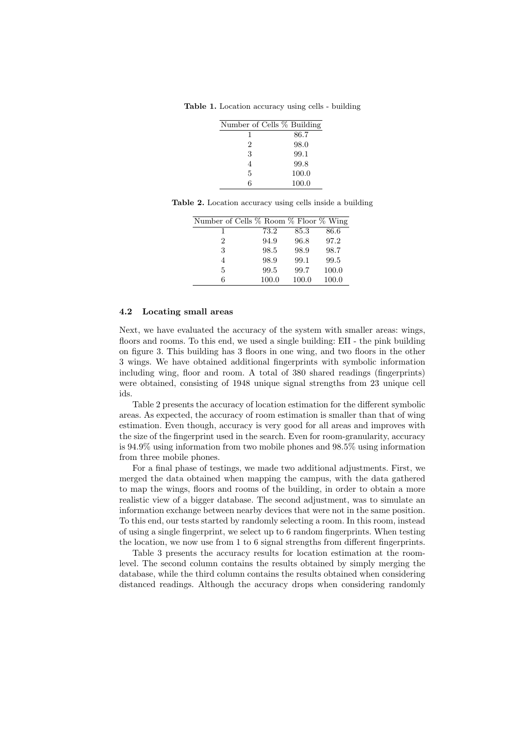Table 1. Location accuracy using cells - building

| Number of Cells % Building |       |
|----------------------------|-------|
|                            | 86.7  |
| 2                          | 98.0  |
| 3                          | 99.1  |
| 4                          | 99.8  |
| 5                          | 100.0 |
| հ                          | 100.0 |

Table 2. Location accuracy using cells inside a building

| Number of Cells % Room % Floor % Wing |       |       |       |
|---------------------------------------|-------|-------|-------|
|                                       | 73.2  | 85.3  | 86.6  |
| 2                                     | 94.9  | 96.8  | 97.2  |
| 3                                     | 98.5  | 98.9  | 98.7  |
| 4                                     | 98.9  | 99.1  | 99.5  |
| 5                                     | 99.5  | 99.7  | 100.0 |
| 6                                     | 100.0 | 100.0 | 100.0 |

#### 4.2 Locating small areas

Next, we have evaluated the accuracy of the system with smaller areas: wings, floors and rooms. To this end, we used a single building: EII - the pink building on figure 3. This building has 3 floors in one wing, and two floors in the other 3 wings. We have obtained additional fingerprints with symbolic information including wing, floor and room. A total of 380 shared readings (fingerprints) were obtained, consisting of 1948 unique signal strengths from 23 unique cell ids.

Table 2 presents the accuracy of location estimation for the different symbolic areas. As expected, the accuracy of room estimation is smaller than that of wing estimation. Even though, accuracy is very good for all areas and improves with the size of the fingerprint used in the search. Even for room-granularity, accuracy is 94.9% using information from two mobile phones and 98.5% using information from three mobile phones.

For a final phase of testings, we made two additional adjustments. First, we merged the data obtained when mapping the campus, with the data gathered to map the wings, floors and rooms of the building, in order to obtain a more realistic view of a bigger database. The second adjustment, was to simulate an information exchange between nearby devices that were not in the same position. To this end, our tests started by randomly selecting a room. In this room, instead of using a single fingerprint, we select up to 6 random fingerprints. When testing the location, we now use from 1 to 6 signal strengths from different fingerprints.

Table 3 presents the accuracy results for location estimation at the roomlevel. The second column contains the results obtained by simply merging the database, while the third column contains the results obtained when considering distanced readings. Although the accuracy drops when considering randomly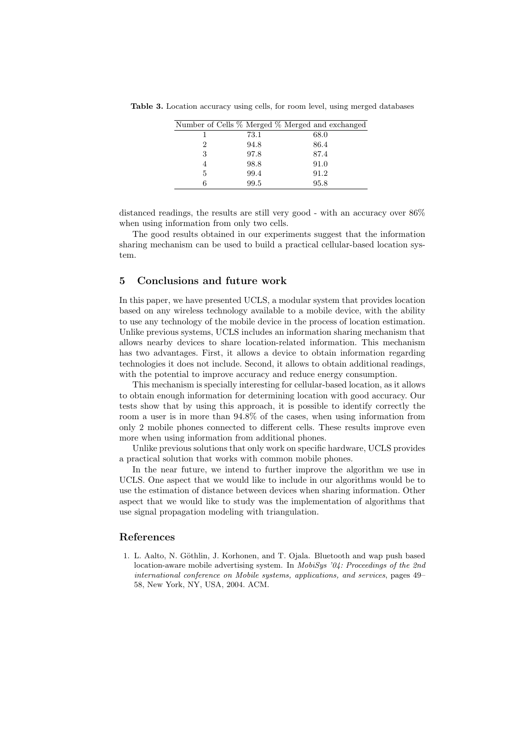|   |      | Number of Cells % Merged % Merged and exchanged |
|---|------|-------------------------------------------------|
|   | 73.1 | 68.0                                            |
| 2 | 94.8 | 86.4                                            |
| 3 | 97.8 | 87.4                                            |
|   | 98.8 | 91.0                                            |
| 5 | 99.4 | 91.2                                            |
|   | 99.5 | 95.8                                            |

Table 3. Location accuracy using cells, for room level, using merged databases

distanced readings, the results are still very good - with an accuracy over 86% when using information from only two cells.

The good results obtained in our experiments suggest that the information sharing mechanism can be used to build a practical cellular-based location system.

# 5 Conclusions and future work

In this paper, we have presented UCLS, a modular system that provides location based on any wireless technology available to a mobile device, with the ability to use any technology of the mobile device in the process of location estimation. Unlike previous systems, UCLS includes an information sharing mechanism that allows nearby devices to share location-related information. This mechanism has two advantages. First, it allows a device to obtain information regarding technologies it does not include. Second, it allows to obtain additional readings, with the potential to improve accuracy and reduce energy consumption.

This mechanism is specially interesting for cellular-based location, as it allows to obtain enough information for determining location with good accuracy. Our tests show that by using this approach, it is possible to identify correctly the room a user is in more than 94.8% of the cases, when using information from only 2 mobile phones connected to different cells. These results improve even more when using information from additional phones.

Unlike previous solutions that only work on specific hardware, UCLS provides a practical solution that works with common mobile phones.

In the near future, we intend to further improve the algorithm we use in UCLS. One aspect that we would like to include in our algorithms would be to use the estimation of distance between devices when sharing information. Other aspect that we would like to study was the implementation of algorithms that use signal propagation modeling with triangulation.

# References

1. L. Aalto, N. Göthlin, J. Korhonen, and T. Ojala. Bluetooth and wap push based location-aware mobile advertising system. In MobiSys '04: Proceedings of the 2nd international conference on Mobile systems, applications, and services, pages 49– 58, New York, NY, USA, 2004. ACM.